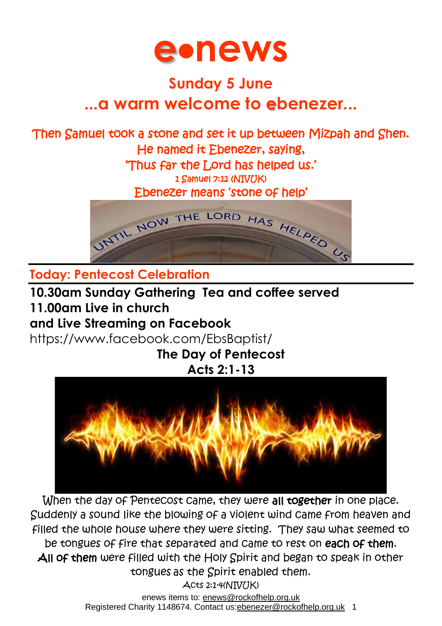

## **Sunday 5 June ...a warm welcome to ebenezer...**

#### Then Samuel took a stone and set it up between Mizpah and Shen. He named it Ebenezer, saying, 'Thus far the Lord has helped us.'

1 Samuel 7:12 (NIVUK)

Ebenezer means 'stone of help'



**Today: Pentecost Celebration**

**10.30am Sunday Gathering Tea and coffee served 11.00am Live in church and Live Streaming on Facebook**

<https://www.facebook.com/EbsBaptist/>

**The Day of Pentecost Acts 2:1-13**



enews items to: [enews@rockofhelp.org.uk](mailto:enews@rockofhelp.org.uk) When the day of Pentecost came, they were all together in one place. Suddenly a sound like the blowing of a violent wind came from heaven and filled the whole house where they were sitting. They saw what seemed to be tongues of fire that separated and came to rest on each of them. All of them were filled with the Holy Spirit and began to speak in other tongues as the Spirit enabled them. Acts 2:1-4(NIVUK)

Registered Charity 1148674. Contact us: ebenezer@rockofhelp.org.uk 1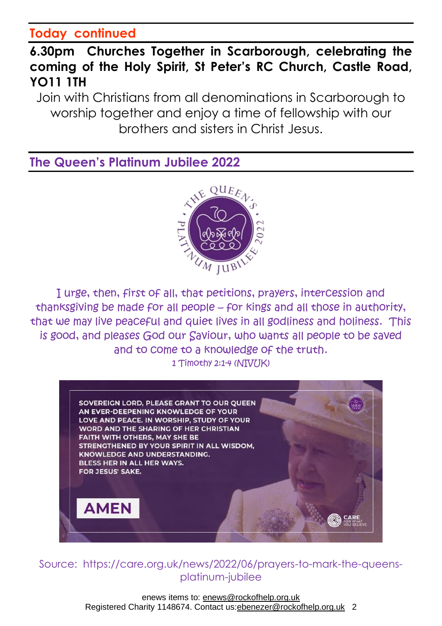#### **Today continued**

#### **6.30pm Churches Together in Scarborough, celebrating the coming of the Holy Spirit, St Peter's RC Church, Castle Road, YO11 1TH**

Join with Christians from all denominations in Scarborough to worship together and enjoy a time of fellowship with our brothers and sisters in Christ Jesus.

**The Queen's Platinum Jubilee 2022**



I urge, then, first of all, that petitions, prayers, intercession and thanksgiving be made for all people – for kings and all those in authority, that we may live peaceful and quiet lives in all godliness and holiness. This is good, and pleases God our Saviour, who wants all people to be saved and to come to a knowledge of the truth. 1 Timothy 2:1-4 (NIVIIK)



Source: https://care.org.uk/news/2022/06/prayers-to-mark-the-queensplatinum-jubilee

> enews items to: [enews@rockofhelp.org.uk](mailto:enews@rockofhelp.org.uk) Registered Charity 1148674. Contact us:ebenezer@rockofhelp.org.uk 2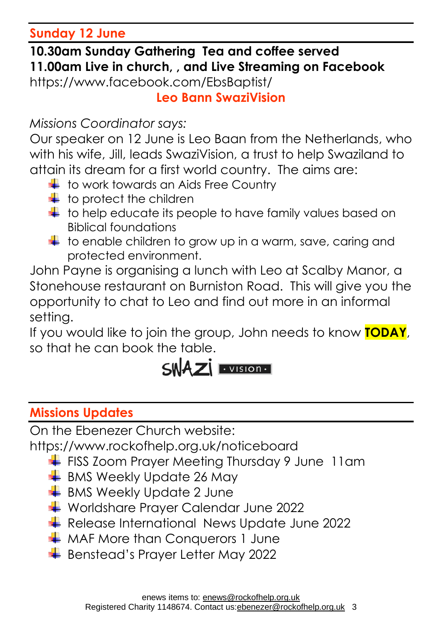**Sunday 12 June** 

**10.30am Sunday Gathering Tea and coffee served 11.00am Live in church, , and Live Streaming on Facebook**

<https://www.facebook.com/EbsBaptist/>

**Leo Bann SwaziVision**

*Missions Coordinator says:*

Our speaker on 12 June is Leo Baan from the Netherlands, who with his wife, Jill, leads SwaziVision, a trust to help Swaziland to attain its dream for a first world country. The aims are:

- $\pm$  to work towards an Aids Free Country
- $\ddagger$  to protect the children
- $\downarrow$  to help educate its people to have family values based on Biblical foundations
- $\downarrow$  to enable children to grow up in a warm, save, caring and protected environment.

John Payne is organising a lunch with Leo at Scalby Manor, a Stonehouse restaurant on Burniston Road. This will give you the opportunity to chat to Leo and find out more in an informal setting.

If you would like to join the group, John needs to know **TODAY**, so that he can book the table.

# $SWAZ$   $\cdot$  vision  $\cdot$

### **Missions Updates**

On the Ebenezer Church website:

<https://www.rockofhelp.org.uk/noticeboard>

- FISS Zoom Prayer Meeting Thursday 9 June 11am
- $\overline{\phantom{a}}$  BMS Weekly Update 26 May
- $\frac{1}{2}$  BMS Weekly Update 2 June
- Worldshare Prayer Calendar June 2022
- Release International News Update June 2022
- **WAF More than Conquerors 1 June**
- Benstead's Prayer Letter May 2022